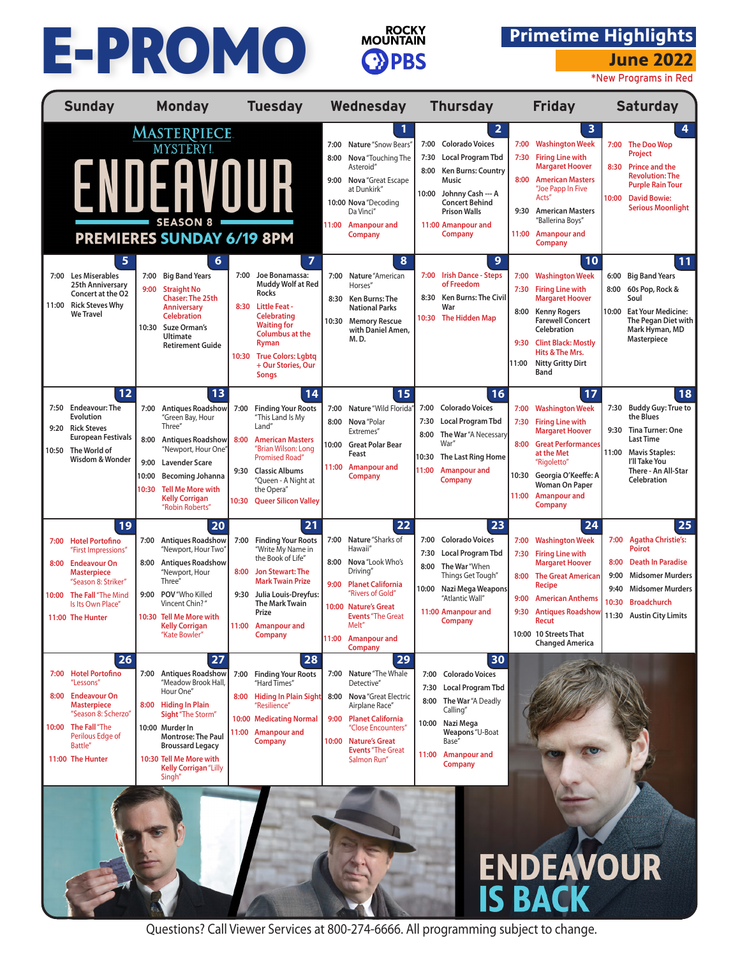## E-PROMO



## **Primetime Highlights**

**June 2022**

\*New Programs in Red

| <b>Sunday</b>                                                                                                                                                                                                   | <b>Monday</b>                                                                                                                                                                                                                                                                         | <b>Tuesday</b>                                                                                                                                                                                                                                                        | Wednesday                                                                                                                                                                                                                                | <b>Thursday</b>                                                                                                                                                                                                            | <b>Friday</b>                                                                                                                                                                                                                                                                              | <b>Saturday</b>                                                                                                                                                                                                               |  |  |  |
|-----------------------------------------------------------------------------------------------------------------------------------------------------------------------------------------------------------------|---------------------------------------------------------------------------------------------------------------------------------------------------------------------------------------------------------------------------------------------------------------------------------------|-----------------------------------------------------------------------------------------------------------------------------------------------------------------------------------------------------------------------------------------------------------------------|------------------------------------------------------------------------------------------------------------------------------------------------------------------------------------------------------------------------------------------|----------------------------------------------------------------------------------------------------------------------------------------------------------------------------------------------------------------------------|--------------------------------------------------------------------------------------------------------------------------------------------------------------------------------------------------------------------------------------------------------------------------------------------|-------------------------------------------------------------------------------------------------------------------------------------------------------------------------------------------------------------------------------|--|--|--|
|                                                                                                                                                                                                                 | <b>MASTERPIECE</b><br>MYSTERY!<br>ENDEAVOUR<br><b>SEASON 8</b><br><b>PREMIERES SUNDAY 6/19 8PM</b>                                                                                                                                                                                    |                                                                                                                                                                                                                                                                       | 7:00<br>Nature "Snow Bears"<br>Nova "Touching The<br>8:00<br>Asteroid"<br>9:00 Nova "Great Escape<br>at Dunkirk"<br>10:00 Nova "Decoding<br>Da Vinci"<br>11:00<br>Amanpour and<br><b>Company</b>                                         | 2<br>7:00 Colorado Voices<br>7:30<br>Local Program Tbd<br><b>Ken Burns: Country</b><br>8:00<br><b>Music</b><br>10:00<br>Johnny Cash --- A<br><b>Concert Behind</b><br><b>Prison Walls</b><br>11:00 Amanpour and<br>Company | 3<br><b>Washington Week</b><br>7:00<br>7:30<br><b>Firing Line with</b><br><b>Margaret Hoover</b><br>8:00<br><b>American Masters</b><br>"Joe Papp In Five<br>Acts"<br><b>American Masters</b><br>9:30<br>"Ballerina Boys"<br>11:00<br><b>Amanpour and</b><br><b>Company</b>                 | 4<br>7:00 The Doo Wop<br>Project<br>8:30<br><b>Prince and the</b><br><b>Revolution: The</b><br><b>Purple Rain Tour</b><br>10:00<br><b>David Bowie:</b><br><b>Serious Moonlight</b>                                            |  |  |  |
| 5<br>7:00<br>Les Miserables<br>25th Anniversary<br>Concert at the O2<br><b>Rick Steves Why</b><br>11:00<br><b>We Travel</b>                                                                                     | 6<br><b>Big Band Years</b><br>7:00<br><b>Straight No</b><br>9:00<br><b>Chaser: The 25th</b><br><b>Anniversary</b><br><b>Celebration</b><br>10:30 Suze Orman's<br><b>Ultimate</b><br><b>Retirement Guide</b>                                                                           | $\overline{7}$<br>7:00 Joe Bonamassa:<br>Muddy Wolf at Red<br><b>Rocks</b><br>8:30<br><b>Little Feat -</b><br><b>Celebrating</b><br><b>Waiting for</b><br><b>Columbus at the</b><br>Ryman<br><b>True Colors: Lgbtg</b><br>10:30<br>+ Our Stories, Our<br><b>Songs</b> | 8<br>7:00<br>Nature "American<br>Horses"<br>8:30<br>Ken Burns: The<br><b>National Parks</b><br><b>Memory Rescue</b><br>10:30<br>with Daniel Amen,<br>M.D.                                                                                | 9<br>7:00 Irish Dance - Steps<br>of Freedom<br>Ken Burns: The Civil<br>8:30<br>War<br><b>The Hidden Map</b><br>10:30                                                                                                       | 10<br><b>Washington Week</b><br>7:00<br>7:30<br><b>Firing Line with</b><br><b>Margaret Hoover</b><br>8:00<br><b>Kenny Rogers</b><br><b>Farewell Concert</b><br>Celebration<br><b>Clint Black: Mostly</b><br>9:30<br>Hits & The Mrs.<br><b>Nitty Gritty Dirt</b><br>11:00<br>Band           | 11<br><b>Big Band Years</b><br>6:00<br>8:00<br>60s Pop, Rock &<br>Soul<br>10:00<br><b>Eat Your Medicine:</b><br>The Pegan Diet with<br>Mark Hyman, MD<br><b>Masterpiece</b>                                                   |  |  |  |
| 12<br>7:50 Endeavour: The<br>Evolution<br><b>Rick Steves</b><br>9:20<br><b>European Festivals</b><br>10:50 The World of<br>Wisdom & Wonder                                                                      | 13<br><b>Antiques Roadshow</b><br>7:00<br>"Green Bay, Hour<br>Three"<br>8:00<br><b>Antiques Roadshow</b><br>"Newport, Hour One"<br>9:00<br><b>Lavender Scare</b><br>10:00<br><b>Becoming Johanna</b><br><b>Tell Me More with</b><br>10:30<br><b>Kelly Corrigan</b><br>"Robin Roberts" | 14<br>7:00<br><b>Finding Your Roots</b><br>"This Land Is My<br>Land"<br>8:00<br><b>American Masters</b><br>"Brian Wilson: Long<br><b>Promised Road"</b><br><b>Classic Albums</b><br>9:30<br>"Queen - A Night at<br>the Opera"<br>10:30<br><b>Queer Silicon Valley</b> | 15<br>Nature "Wild Florida"<br>7:00<br>8:00 Nova "Polar<br>Extremes"<br>10:00 Great Polar Bear<br>Feast<br>11:00 Amanpour and<br><b>Company</b>                                                                                          | 16<br><b>Colorado Voices</b><br>7:00<br>Local Program Tbd<br>7:30<br>The War "A Necessary<br>8:00<br>War"<br>The Last Ring Home<br>10:30<br>11:00<br><b>Amanpour and</b><br>Company                                        | 17<br><b>Washington Week</b><br>7:00<br><b>Firing Line with</b><br>7:30<br><b>Margaret Hoover</b><br><b>Great Performances</b><br>8:00<br>at the Met<br>"Rigoletto"<br>10:30<br>Georgia O'Keeffe: A<br><b>Woman On Paper</b><br><b>Amanpour and</b><br>11:00<br><b>Company</b>             | 18<br><b>Buddy Guy: True to</b><br>7:30<br>the Blues<br>9:30 Tina Turner: One<br><b>Last Time</b><br>11:00<br><b>Mavis Staples:</b><br>I'll Take You<br>There - An All-Star<br>Celebration                                    |  |  |  |
| 19<br><b>Hotel Portofino</b><br>7:00<br>"First Impressions"<br><b>Endeavour On</b><br>8:00<br><b>Masterpiece</b><br>"Season 8: Striker"<br>The Fall "The Mind<br>10:00<br>Is Its Own Place"<br>11:00 The Hunter | 20<br><b>Antiques Roadshow</b><br>7:00<br>"Newport, Hour Two"<br><b>Antiques Roadshow</b><br>8:00<br>"Newport, Hour<br>Three"<br>POV "Who Killed<br>9:00<br>Vincent Chin?"<br>10:30 Tell Me More with<br><b>Kelly Corrigan</b><br>"Kate Bowler"                                       | 21<br><b>Finding Your Roots</b><br>7:00<br>"Write My Name in<br>the Book of Life"<br>Jon Stewart: The<br>8:00<br><b>Mark Twain Prize</b><br>9:30<br>Julia Louis-Dreyfus:<br><b>The Mark Twain</b><br>Prize<br>11:00 Amanpour and<br><b>Company</b>                    | 22<br>Nature "Sharks of<br>7:00<br>Hawaii"<br>8:00<br>Nova "Look Who's<br>Driving"<br>9:00<br><b>Planet California</b><br>"Rivers of Gold"<br>10:00 Nature's Great<br><b>Events</b> "The Great<br>Melt"<br>11:00 Amanpour and<br>Company | 23<br>7:00<br><b>Colorado Voices</b><br>7:30 Local Program Tbd<br>8:00 The War "When<br>Things Get Tough"<br>Nazi Mega Weapons<br>10:00<br>"Atlantic Wall"<br>11:00 Amanpour and<br>Company                                | 24<br>7:00<br><b>Washington Week</b><br><b>Firing Line with</b><br>7:30<br><b>Margaret Hoover</b><br>8:00<br><b>The Great American</b><br><b>Recipe</b><br>9:00<br><b>American Anthems</b><br>9:30<br><b>Antiques Roadshow</b><br>Recut<br>10:00 10 Streets That<br><b>Changed America</b> | 25<br><b>Agatha Christie's:</b><br>7:00<br><b>Poirot</b><br>8:00<br><b>Death In Paradise</b><br>9:00<br><b>Midsomer Murders</b><br>9:40<br><b>Midsomer Murders</b><br><b>Broadchurch</b><br>10:30<br>11:30 Austin City Limits |  |  |  |
| 26<br>7:00 Hotel Portofino<br>"Lessons"<br>8:00<br><b>Endeavour On</b><br><b>Masterpiece</b><br>"Season 8: Scherzo"<br>10:00 The Fall "The<br>Perilous Edge of<br>Battle"<br>11:00 The Hunter                   | 27<br>7:00 Antiques Roadshow<br>"Meadow Brook Hall,<br>Hour One"<br><b>Hiding In Plain</b><br>8:00<br>Sight "The Storm"<br>10:00 Murder In<br><b>Montrose: The Paul</b><br><b>Broussard Legacy</b><br>10:30 Tell Me More with<br><b>Kelly Corrigan</b> "Lilly<br>Singh"               | 28<br>7:00 Finding Your Roots<br>"Hard Times"<br>8:00 Hiding In Plain Sight<br>"Resilience"<br>10:00 Medicating Normal<br><b>Amanpour and</b><br>11:00<br>Company                                                                                                     | 29<br>7:00 Nature "The Whale<br>Detective"<br>8:00 Nova "Great Electric<br>Airplane Race"<br>9:00 Planet California<br>"Close Encounters"<br>10:00 Nature's Great<br><b>Events</b> "The Great<br>Salmon Run"                             | 30<br>7:00 Colorado Voices<br>Local Program Tbd<br>7:30<br>8:00 The War "A Deadly<br>Calling"<br>10:00 Nazi Mega<br>Weapons "U-Boat<br>Base"<br>11:00 Amanpour and<br>Company                                              |                                                                                                                                                                                                                                                                                            |                                                                                                                                                                                                                               |  |  |  |
|                                                                                                                                                                                                                 |                                                                                                                                                                                                                                                                                       |                                                                                                                                                                                                                                                                       |                                                                                                                                                                                                                                          |                                                                                                                                                                                                                            | <b>ENDEAVOUR</b>                                                                                                                                                                                                                                                                           |                                                                                                                                                                                                                               |  |  |  |

Questions? Call Viewer Services at 800-274-6666. All programming subject to change.